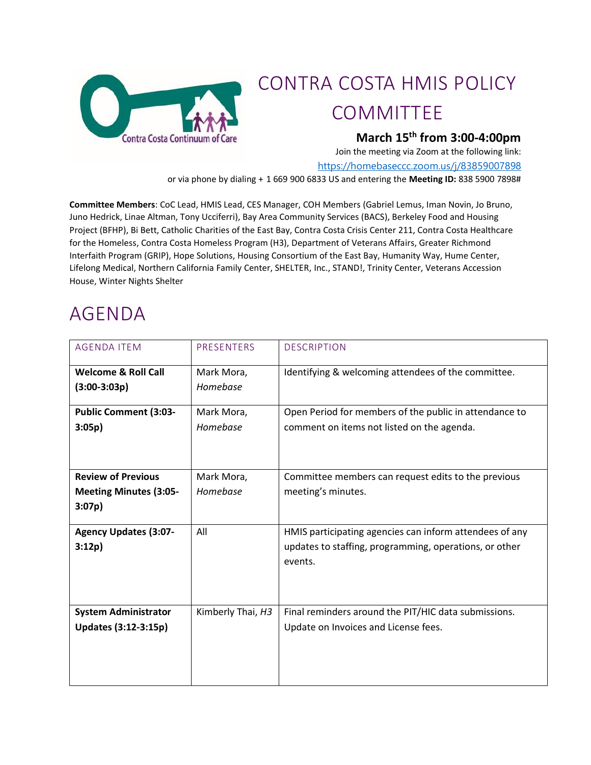

# CONTRA COSTA HMIS POLICY COMMITTEE

### **March 15 th from 3:00-4:00pm**

Join the meeting via Zoom at the following link:

<https://homebaseccc.zoom.us/j/83859007898>

or via phone by dialing + 1 669 900 6833 US and entering the **Meeting ID:** 838 5900 7898#

**Committee Members**: CoC Lead, HMIS Lead, CES Manager, COH Members (Gabriel Lemus, Iman Novin, Jo Bruno, Juno Hedrick, Linae Altman, Tony Ucciferri), Bay Area Community Services (BACS), Berkeley Food and Housing Project (BFHP), Bi Bett, Catholic Charities of the East Bay, Contra Costa Crisis Center 211, Contra Costa Healthcare for the Homeless, Contra Costa Homeless Program (H3), Department of Veterans Affairs, Greater Richmond Interfaith Program (GRIP), Hope Solutions, Housing Consortium of the East Bay, Humanity Way, Hume Center, Lifelong Medical, Northern California Family Center, SHELTER, Inc., STAND!, Trinity Center, Veterans Accession House, Winter Nights Shelter

# AGENDA

| <b>AGENDA ITEM</b>             | PRESENTERS        | <b>DESCRIPTION</b>                                                |
|--------------------------------|-------------------|-------------------------------------------------------------------|
| <b>Welcome &amp; Roll Call</b> | Mark Mora,        | Identifying & welcoming attendees of the committee.               |
| $(3:00-3:03p)$                 | Homebase          |                                                                   |
| <b>Public Comment (3:03-</b>   | Mark Mora,        | Open Period for members of the public in attendance to            |
| 3:05p)                         | Homebase          | comment on items not listed on the agenda.                        |
| <b>Review of Previous</b>      | Mark Mora,        | Committee members can request edits to the previous               |
| <b>Meeting Minutes (3:05-</b>  | Homebase          | meeting's minutes.                                                |
| 3:07p)                         |                   |                                                                   |
| <b>Agency Updates (3:07-</b>   | All               | HMIS participating agencies can inform attendees of any           |
| 3:12p)                         |                   | updates to staffing, programming, operations, or other<br>events. |
| <b>System Administrator</b>    | Kimberly Thai, H3 | Final reminders around the PIT/HIC data submissions.              |
| Updates (3:12-3:15p)           |                   | Update on Invoices and License fees.                              |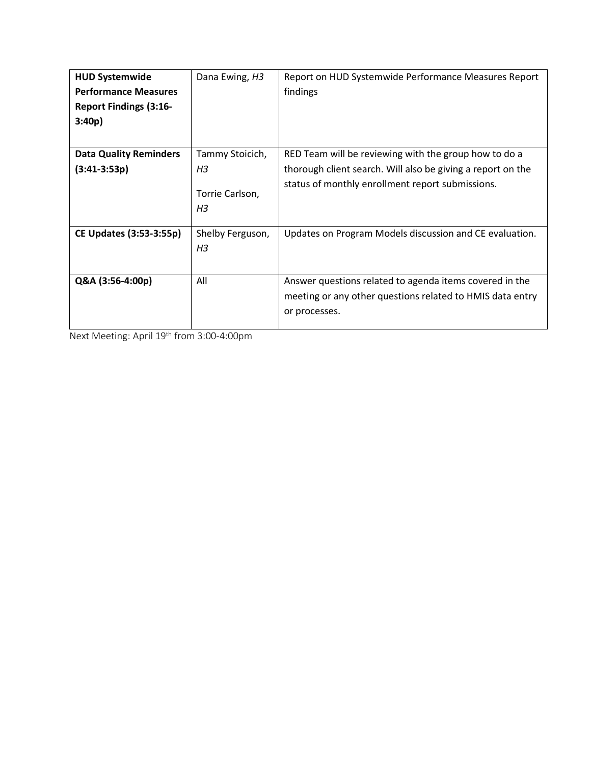| <b>HUD Systemwide</b>          | Dana Ewing, H3   | Report on HUD Systemwide Performance Measures Report        |
|--------------------------------|------------------|-------------------------------------------------------------|
| <b>Performance Measures</b>    |                  | findings                                                    |
| <b>Report Findings (3:16-</b>  |                  |                                                             |
| 3:40p                          |                  |                                                             |
|                                |                  |                                                             |
| <b>Data Quality Reminders</b>  | Tammy Stoicich,  | RED Team will be reviewing with the group how to do a       |
| $(3:41-3:53p)$                 | H <sub>3</sub>   | thorough client search. Will also be giving a report on the |
|                                |                  | status of monthly enrollment report submissions.            |
|                                | Torrie Carlson,  |                                                             |
|                                | H <sub>3</sub>   |                                                             |
| <b>CE Updates (3:53-3:55p)</b> | Shelby Ferguson, | Updates on Program Models discussion and CE evaluation.     |
|                                | H <sub>3</sub>   |                                                             |
|                                |                  |                                                             |
| Q&A (3:56-4:00p)               | All              | Answer questions related to agenda items covered in the     |
|                                |                  | meeting or any other questions related to HMIS data entry   |
|                                |                  | or processes.                                               |
|                                |                  |                                                             |

Next Meeting: April 19<sup>th</sup> from 3:00-4:00pm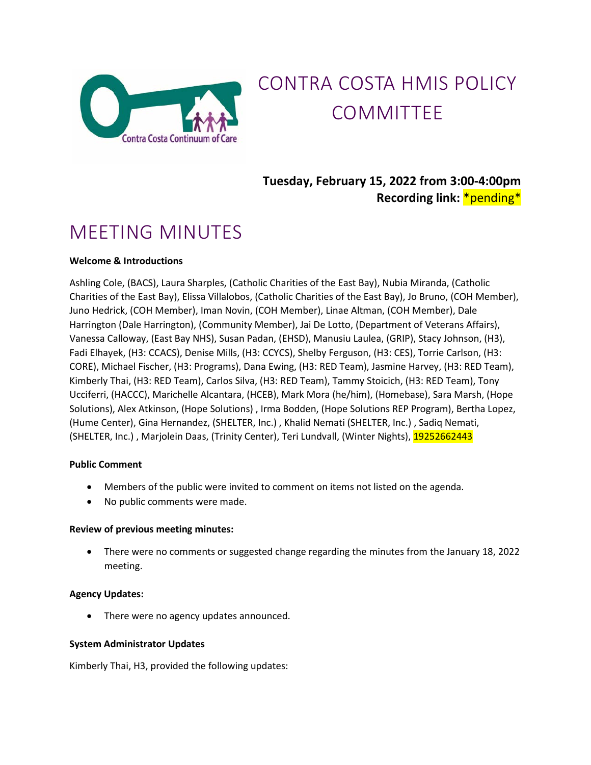

# CONTRA COSTA HMIS POLICY COMMITTEE

## **Tuesday, February 15, 2022 from 3:00-4:00pm Recording link:** \*pending\*

# MEETING MINUTES

#### **Welcome & Introductions**

Ashling Cole, (BACS), Laura Sharples, (Catholic Charities of the East Bay), Nubia Miranda, (Catholic Charities of the East Bay), Elissa Villalobos, (Catholic Charities of the East Bay), Jo Bruno, (COH Member), Juno Hedrick, (COH Member), Iman Novin, (COH Member), Linae Altman, (COH Member), Dale Harrington (Dale Harrington), (Community Member), Jai De Lotto, (Department of Veterans Affairs), Vanessa Calloway, (East Bay NHS), Susan Padan, (EHSD), Manusiu Laulea, (GRIP), Stacy Johnson, (H3), Fadi Elhayek, (H3: CCACS), Denise Mills, (H3: CCYCS), Shelby Ferguson, (H3: CES), Torrie Carlson, (H3: CORE), Michael Fischer, (H3: Programs), Dana Ewing, (H3: RED Team), Jasmine Harvey, (H3: RED Team), Kimberly Thai, (H3: RED Team), Carlos Silva, (H3: RED Team), Tammy Stoicich, (H3: RED Team), Tony Ucciferri, (HACCC), Marichelle Alcantara, (HCEB), Mark Mora (he/him), (Homebase), Sara Marsh, (Hope Solutions), Alex Atkinson, (Hope Solutions) , Irma Bodden, (Hope Solutions REP Program), Bertha Lopez, (Hume Center), Gina Hernandez, (SHELTER, Inc.) , Khalid Nemati (SHELTER, Inc.) , Sadiq Nemati, (SHELTER, Inc.), Marjolein Daas, (Trinity Center), Teri Lundvall, (Winter Nights), 19252662443

#### **Public Comment**

- Members of the public were invited to comment on items not listed on the agenda.
- No public comments were made.

#### **Review of previous meeting minutes:**

• There were no comments or suggested change regarding the minutes from the January 18, 2022 meeting.

#### **Agency Updates:**

There were no agency updates announced.

#### **System Administrator Updates**

Kimberly Thai, H3, provided the following updates: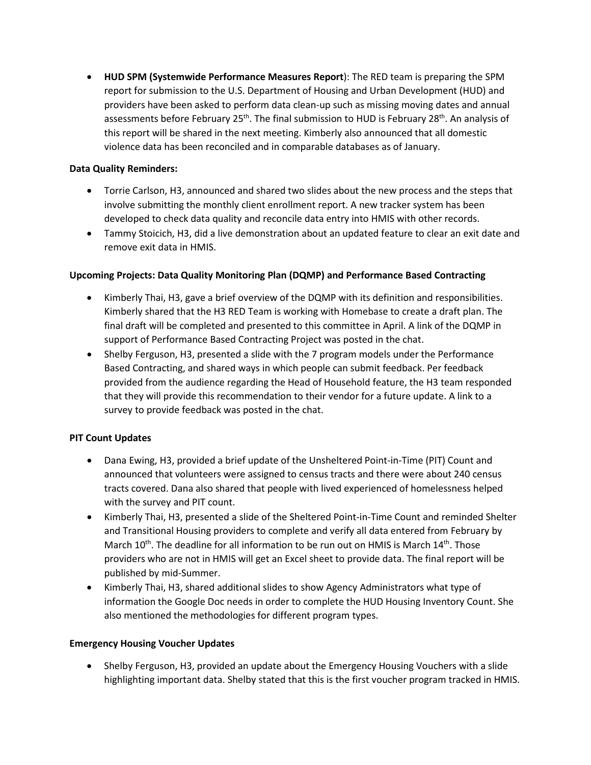• **HUD SPM (Systemwide Performance Measures Report**): The RED team is preparing the SPM report for submission to the U.S. Department of Housing and Urban Development (HUD) and providers have been asked to perform data clean-up such as missing moving dates and annual assessments before February 25<sup>th</sup>. The final submission to HUD is February 28<sup>th</sup>. An analysis of this report will be shared in the next meeting. Kimberly also announced that all domestic violence data has been reconciled and in comparable databases as of January.

#### **Data Quality Reminders:**

- Torrie Carlson, H3, announced and shared two slides about the new process and the steps that involve submitting the monthly client enrollment report. A new tracker system has been developed to check data quality and reconcile data entry into HMIS with other records.
- Tammy Stoicich, H3, did a live demonstration about an updated feature to clear an exit date and remove exit data in HMIS.

#### **Upcoming Projects: Data Quality Monitoring Plan (DQMP) and Performance Based Contracting**

- Kimberly Thai, H3, gave a brief overview of the DQMP with its definition and responsibilities. Kimberly shared that the H3 RED Team is working with Homebase to create a draft plan. The final draft will be completed and presented to this committee in April. A link of the DQMP in support of Performance Based Contracting Project was posted in the chat.
- Shelby Ferguson, H3, presented a slide with the 7 program models under the Performance Based Contracting, and shared ways in which people can submit feedback. Per feedback provided from the audience regarding the Head of Household feature, the H3 team responded that they will provide this recommendation to their vendor for a future update. A link to a survey to provide feedback was posted in the chat.

#### **PIT Count Updates**

- Dana Ewing, H3, provided a brief update of the Unsheltered Point-in-Time (PIT) Count and announced that volunteers were assigned to census tracts and there were about 240 census tracts covered. Dana also shared that people with lived experienced of homelessness helped with the survey and PIT count.
- Kimberly Thai, H3, presented a slide of the Sheltered Point-in-Time Count and reminded Shelter and Transitional Housing providers to complete and verify all data entered from February by March 10<sup>th</sup>. The deadline for all information to be run out on HMIS is March 14<sup>th</sup>. Those providers who are not in HMIS will get an Excel sheet to provide data. The final report will be published by mid-Summer.
- Kimberly Thai, H3, shared additional slides to show Agency Administrators what type of information the Google Doc needs in order to complete the HUD Housing Inventory Count. She also mentioned the methodologies for different program types.

#### **Emergency Housing Voucher Updates**

• Shelby Ferguson, H3, provided an update about the Emergency Housing Vouchers with a slide highlighting important data. Shelby stated that this is the first voucher program tracked in HMIS.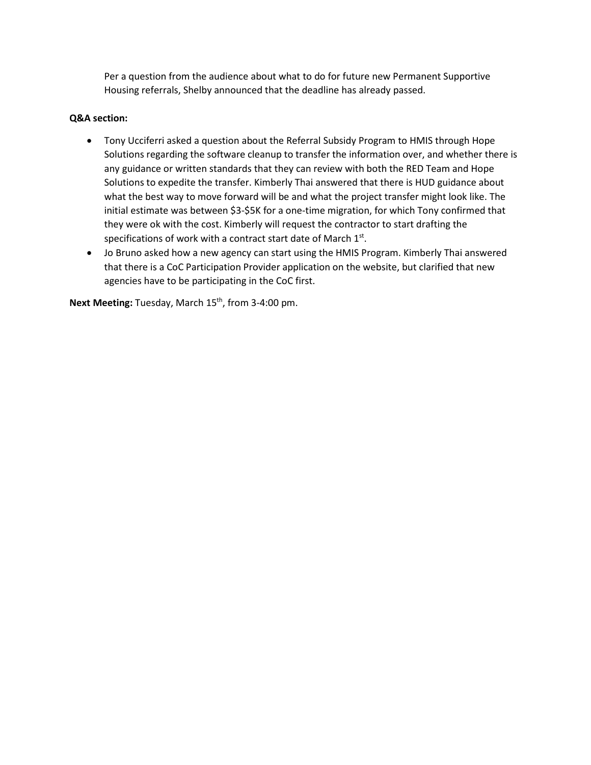Per a question from the audience about what to do for future new Permanent Supportive Housing referrals, Shelby announced that the deadline has already passed.

#### **Q&A section:**

- Tony Ucciferri asked a question about the Referral Subsidy Program to HMIS through Hope Solutions regarding the software cleanup to transfer the information over, and whether there is any guidance or written standards that they can review with both the RED Team and Hope Solutions to expedite the transfer. Kimberly Thai answered that there is HUD guidance about what the best way to move forward will be and what the project transfer might look like. The initial estimate was between \$3-\$5K for a one-time migration, for which Tony confirmed that they were ok with the cost. Kimberly will request the contractor to start drafting the specifications of work with a contract start date of March 1st.
- Jo Bruno asked how a new agency can start using the HMIS Program. Kimberly Thai answered that there is a CoC Participation Provider application on the website, but clarified that new agencies have to be participating in the CoC first.

Next Meeting: Tuesday, March 15<sup>th</sup>, from 3-4:00 pm.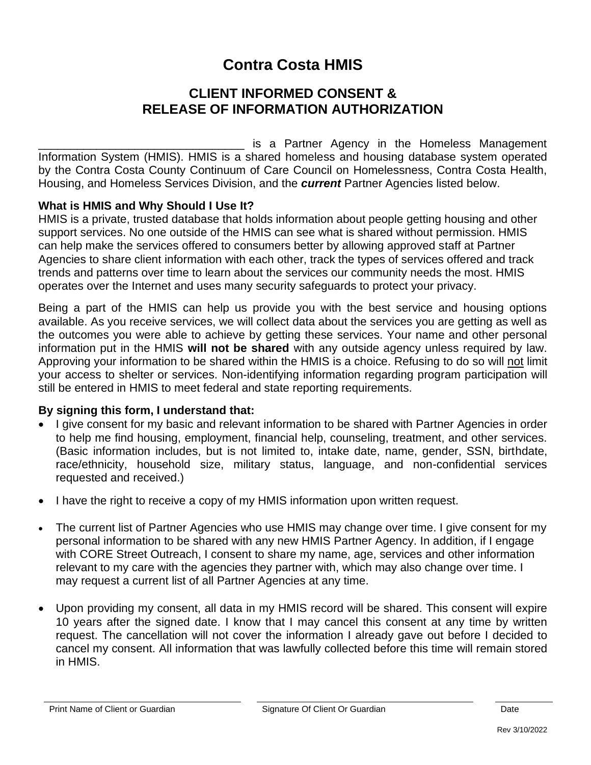## **Contra Costa HMIS**

## **CLIENT INFORMED CONSENT & RELEASE OF INFORMATION AUTHORIZATION**

is a Partner Agency in the Homeless Management Information System (HMIS). HMIS is a shared homeless and housing database system operated by the Contra Costa County Continuum of Care Council on Homelessness, Contra Costa Health, Housing, and Homeless Services Division, and the *current* Partner Agencies listed below.

#### **What is HMIS and Why Should I Use It?**

HMIS is a private, trusted database that holds information about people getting housing and other support services. No one outside of the HMIS can see what is shared without permission. HMIS can help make the services offered to consumers better by allowing approved staff at Partner Agencies to share client information with each other, track the types of services offered and track trends and patterns over time to learn about the services our community needs the most. HMIS operates over the Internet and uses many security safeguards to protect your privacy.

Being a part of the HMIS can help us provide you with the best service and housing options available. As you receive services, we will collect data about the services you are getting as well as the outcomes you were able to achieve by getting these services. Your name and other personal information put in the HMIS **will not be shared** with any outside agency unless required by law. Approving your information to be shared within the HMIS is a choice. Refusing to do so will not limit your access to shelter or services. Non-identifying information regarding program participation will still be entered in HMIS to meet federal and state reporting requirements.

#### **By signing this form, I understand that:**

- I give consent for my basic and relevant information to be shared with Partner Agencies in order to help me find housing, employment, financial help, counseling, treatment, and other services. (Basic information includes, but is not limited to, intake date, name, gender, SSN, birthdate, race/ethnicity, household size, military status, language, and non-confidential services requested and received.)
- I have the right to receive a copy of my HMIS information upon written request.
- The current list of Partner Agencies who use HMIS may change over time. I give consent for my personal information to be shared with any new HMIS Partner Agency. In addition, if I engage with CORE Street Outreach, I consent to share my name, age, services and other information relevant to my care with the agencies they partner with, which may also change over time. I may request a current list of all Partner Agencies at any time.
- Upon providing my consent, all data in my HMIS record will be shared. This consent will expire 10 years after the signed date. I know that I may cancel this consent at any time by written request. The cancellation will not cover the information I already gave out before I decided to cancel my consent. All information that was lawfully collected before this time will remain stored in HMIS.